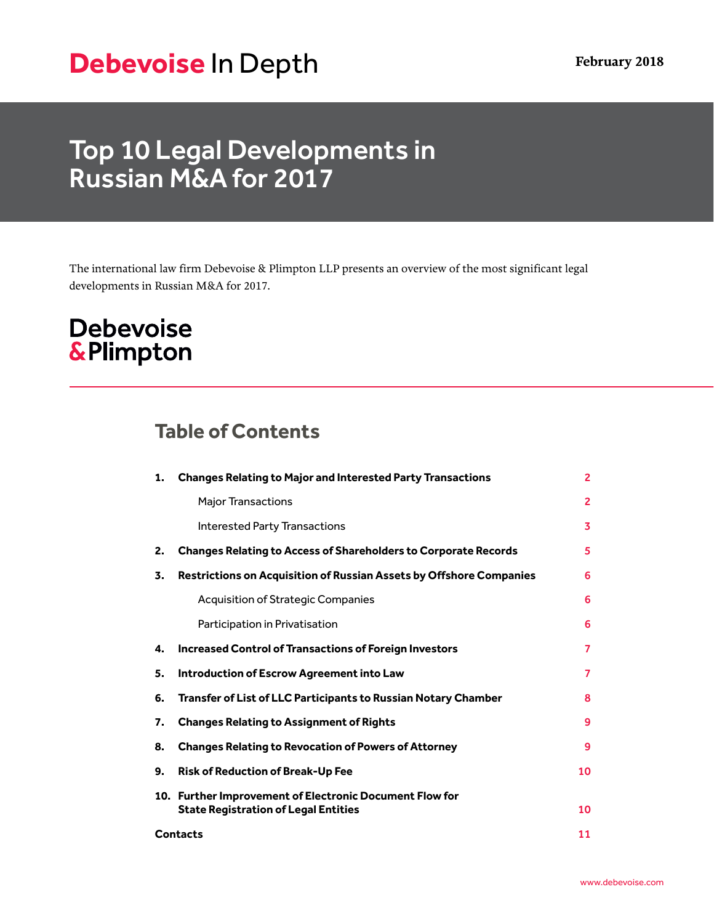# **Debevoise** In Depth **February 2018**

# Top 10 Legal Developments in Russian M&A for 2017

The international law firm Debevoise & Plimpton LLP presents an overview of the most significant legal developments in Russian M&A for 2017.

## **Debevoise &Plimpton**

## **Table of Contents**

| 1.              | <b>Changes Relating to Major and Interested Party Transactions</b>                                     | $\overline{2}$ |
|-----------------|--------------------------------------------------------------------------------------------------------|----------------|
|                 | <b>Major Transactions</b>                                                                              | $\overline{2}$ |
|                 | <b>Interested Party Transactions</b>                                                                   | 3              |
| 2.              | <b>Changes Relating to Access of Shareholders to Corporate Records</b>                                 | 5              |
| 3.              | <b>Restrictions on Acquisition of Russian Assets by Offshore Companies</b>                             | 6              |
|                 | <b>Acquisition of Strategic Companies</b>                                                              | 6              |
|                 | Participation in Privatisation                                                                         | 6              |
| 4.              | <b>Increased Control of Transactions of Foreign Investors</b>                                          | 7              |
| 5.              | <b>Introduction of Escrow Agreement into Law</b>                                                       | 7              |
| 6.              | <b>Transfer of List of LLC Participants to Russian Notary Chamber</b>                                  | 8              |
| 7.              | <b>Changes Relating to Assignment of Rights</b>                                                        | 9              |
| 8.              | <b>Changes Relating to Revocation of Powers of Attorney</b>                                            | 9              |
| 9.              | <b>Risk of Reduction of Break-Up Fee</b>                                                               | 10             |
|                 | 10. Further Improvement of Electronic Document Flow for<br><b>State Registration of Legal Entities</b> | 10             |
| <b>Contacts</b> |                                                                                                        | 11             |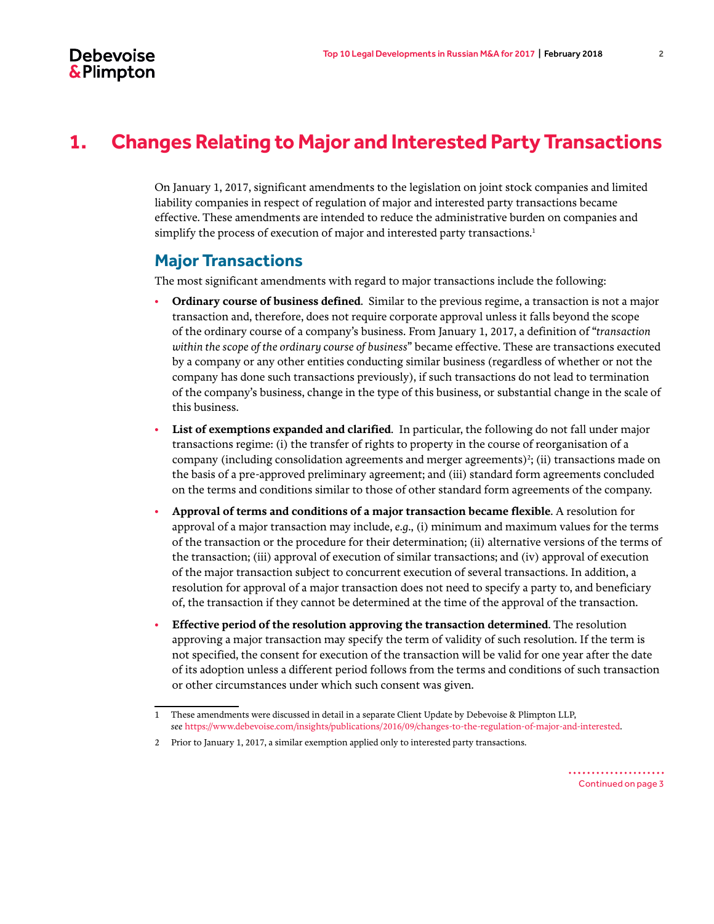## <span id="page-1-0"></span>**1. Changes Relating to Major and Interested Party Transactions**

On January 1, 2017, significant amendments to the legislation on joint stock companies and limited liability companies in respect of regulation of major and interested party transactions became effective. These amendments are intended to reduce the administrative burden on companies and simplify the process of execution of major and interested party transactions.<sup>1</sup>

#### <span id="page-1-1"></span>**Major Transactions**

The most significant amendments with regard to major transactions include the following:

- **Ordinary course of business defined**. Similar to the previous regime, a transaction is not a major transaction and, therefore, does not require corporate approval unless it falls beyond the scope of the ordinary course of a company's business. From January 1, 2017, a definition of "*transaction within the scope of the ordinary course of business*" became effective. These are transactions executed by a company or any other entities conducting similar business (regardless of whether or not the company has done such transactions previously), if such transactions do not lead to termination of the company's business, change in the type of this business, or substantial change in the scale of this business.
- **List of exemptions expanded and clarified**. In particular, the following do not fall under major transactions regime: (i) the transfer of rights to property in the course of reorganisation of a company (including consolidation agreements and merger agreements) $^2$ ; (ii) transactions made on the basis of a pre-approved preliminary agreement; and (iii) standard form agreements concluded on the terms and conditions similar to those of other standard form agreements of the company.
- **Approval of terms and conditions of a major transaction became flexible**. A resolution for approval of a major transaction may include, *e.g*., (i) minimum and maximum values for the terms of the transaction or the procedure for their determination; (ii) alternative versions of the terms of the transaction; (iii) approval of execution of similar transactions; and (iv) approval of execution of the major transaction subject to concurrent execution of several transactions. In addition, a resolution for approval of a major transaction does not need to specify a party to, and beneficiary of, the transaction if they cannot be determined at the time of the approval of the transaction.
- **Effective period of the resolution approving the transaction determined**. The resolution approving a major transaction may specify the term of validity of such resolution. If the term is not specified, the consent for execution of the transaction will be valid for one year after the date of its adoption unless a different period follows from the terms and conditions of such transaction or other circumstances under which such consent was given.

<sup>1</sup> These amendments were discussed in detail in a separate Client Update by Debevoise & Plimpton LLP, *see* [https://www.debevoise.com/insights/publications/2016/09/changes-to-the-regulation-of-major-and-interested.](https://www.debevoise.com/insights/publications/2016/09/changes-to-the-regulation-of-major-and-interested)

<sup>2</sup> Prior to January 1, 2017, a similar exemption applied only to interested party transactions.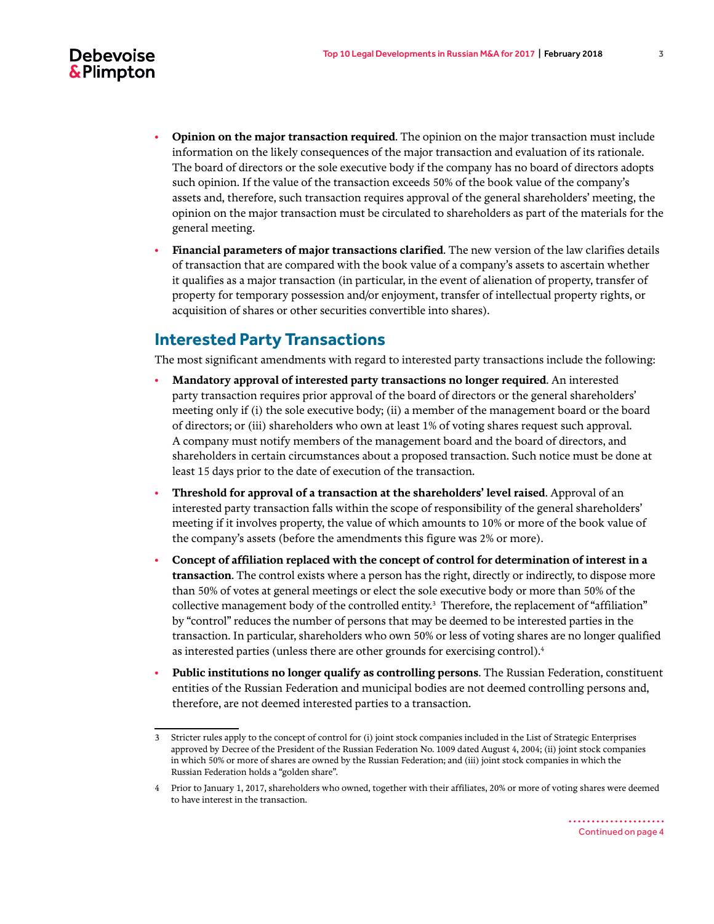

- **Opinion on the major transaction required**. The opinion on the major transaction must include information on the likely consequences of the major transaction and evaluation of its rationale. The board of directors or the sole executive body if the company has no board of directors adopts such opinion. If the value of the transaction exceeds 50% of the book value of the company's assets and, therefore, such transaction requires approval of the general shareholders' meeting, the opinion on the major transaction must be circulated to shareholders as part of the materials for the general meeting.
- **Financial parameters of major transactions clarified**. The new version of the law clarifies details of transaction that are compared with the book value of a company's assets to ascertain whether it qualifies as a major transaction (in particular, in the event of alienation of property, transfer of property for temporary possession and/or enjoyment, transfer of intellectual property rights, or acquisition of shares or other securities convertible into shares).

#### <span id="page-2-0"></span>**Interested Party Transactions**

The most significant amendments with regard to interested party transactions include the following:

- **Mandatory approval of interested party transactions no longer required**. An interested party transaction requires prior approval of the board of directors or the general shareholders' meeting only if (i) the sole executive body; (ii) a member of the management board or the board of directors; or (iii) shareholders who own at least 1% of voting shares request such approval. A company must notify members of the management board and the board of directors, and shareholders in certain circumstances about a proposed transaction. Such notice must be done at least 15 days prior to the date of execution of the transaction.
- **Threshold for approval of a transaction at the shareholders' level raised**. Approval of an interested party transaction falls within the scope of responsibility of the general shareholders' meeting if it involves property, the value of which amounts to 10% or more of the book value of the company's assets (before the amendments this figure was 2% or more).
- **Concept of affiliation replaced with the concept of control for determination of interest in a transaction**. The control exists where a person has the right, directly or indirectly, to dispose more than 50% of votes at general meetings or elect the sole executive body or more than 50% of the collective management body of the controlled entity.<sup>3</sup> Therefore, the replacement of "affiliation" by "control" reduces the number of persons that may be deemed to be interested parties in the transaction. In particular, shareholders who own 50% or less of voting shares are no longer qualified as interested parties (unless there are other grounds for exercising control).<sup>4</sup>
- **Public institutions no longer qualify as controlling persons**. The Russian Federation, constituent entities of the Russian Federation and municipal bodies are not deemed controlling persons and, therefore, are not deemed interested parties to a transaction.

<sup>3</sup> Stricter rules apply to the concept of control for (i) joint stock companies included in the List of Strategic Enterprises approved by Decree of the President of the Russian Federation No. 1009 dated August 4, 2004; (ii) joint stock companies in which 50% or more of shares are owned by the Russian Federation; and (iii) joint stock companies in which the Russian Federation holds a "golden share".

<sup>4</sup> Prior to January 1, 2017, shareholders who owned, together with their affiliates, 20% or more of voting shares were deemed to have interest in the transaction.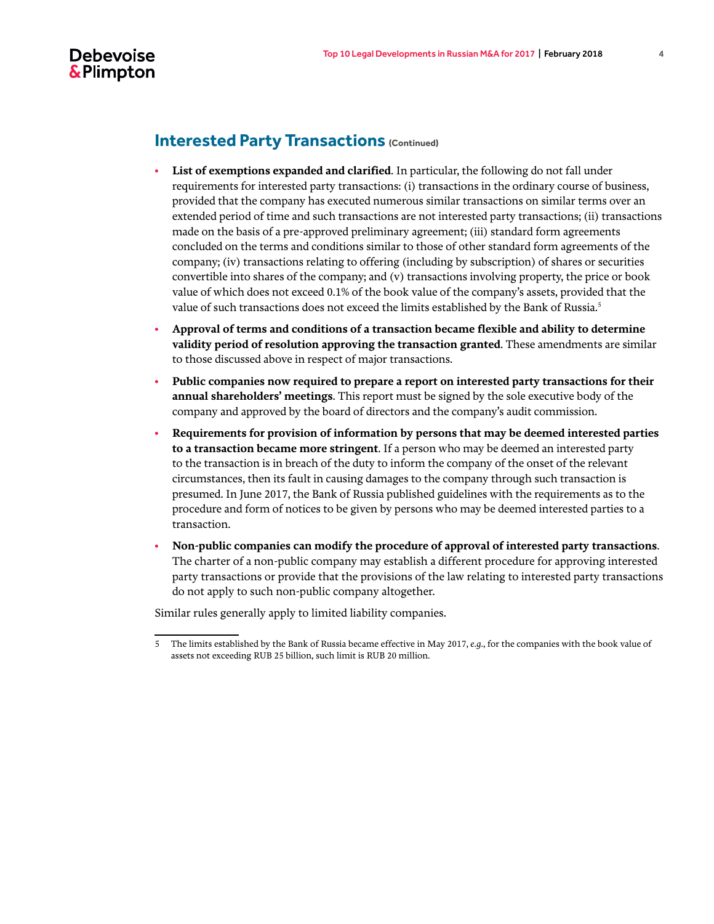

#### **Interested Party Transactions (Continued)**

- **List of exemptions expanded and clarified**. In particular, the following do not fall under requirements for interested party transactions: (i) transactions in the ordinary course of business, provided that the company has executed numerous similar transactions on similar terms over an extended period of time and such transactions are not interested party transactions; (ii) transactions made on the basis of a pre-approved preliminary agreement; (iii) standard form agreements concluded on the terms and conditions similar to those of other standard form agreements of the company; (iv) transactions relating to offering (including by subscription) of shares or securities convertible into shares of the company; and (v) transactions involving property, the price or book value of which does not exceed 0.1% of the book value of the company's assets, provided that the value of such transactions does not exceed the limits established by the Bank of Russia.<sup>5</sup>
- **Approval of terms and conditions of a transaction became flexible and ability to determine validity period of resolution approving the transaction granted**. These amendments are similar to those discussed above in respect of major transactions.
- **Public companies now required to prepare a report on interested party transactions for their annual shareholders' meetings**. This report must be signed by the sole executive body of the company and approved by the board of directors and the company's audit commission.
- **Requirements for provision of information by persons that may be deemed interested parties to a transaction became more stringent**. If a person who may be deemed an interested party to the transaction is in breach of the duty to inform the company of the onset of the relevant circumstances, then its fault in causing damages to the company through such transaction is presumed. In June 2017, the Bank of Russia published guidelines with the requirements as to the procedure and form of notices to be given by persons who may be deemed interested parties to a transaction.
- **Non-public companies can modify the procedure of approval of interested party transactions**. The charter of a non-public company may establish a different procedure for approving interested party transactions or provide that the provisions of the law relating to interested party transactions do not apply to such non-public company altogether.

Similar rules generally apply to limited liability companies.

<sup>5</sup> The limits established by the Bank of Russia became effective in May 2017, *e.g*., for the companies with the book value of assets not exceeding RUB 25 billion, such limit is RUB 20 million.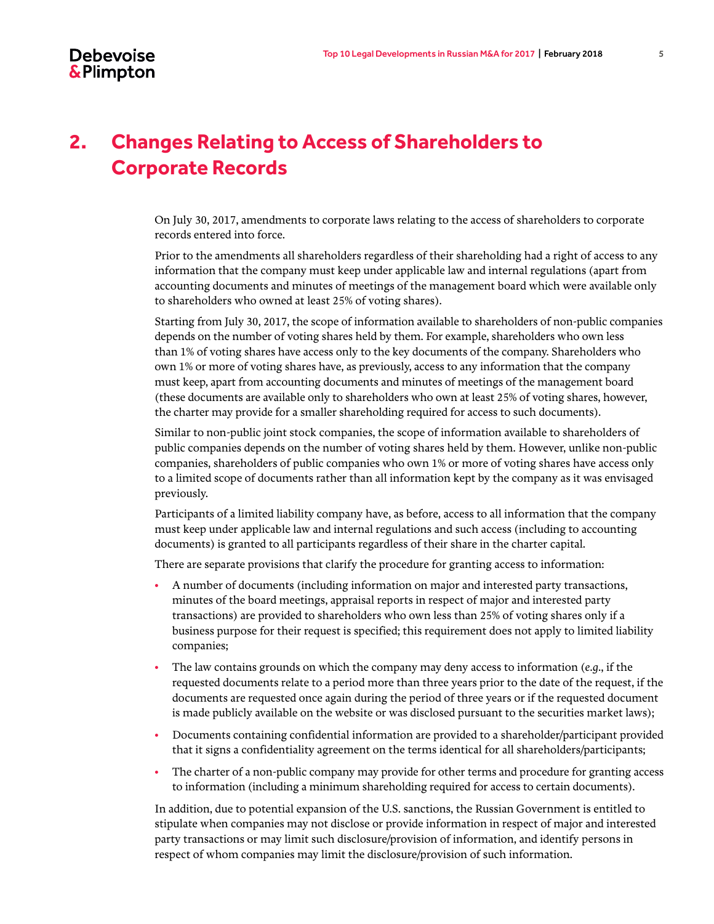## **2. Changes Relating to Access of Shareholders to Corporate Records**

On July 30, 2017, amendments to corporate laws relating to the access of shareholders to corporate records entered into force.

Prior to the amendments all shareholders regardless of their shareholding had a right of access to any information that the company must keep under applicable law and internal regulations (apart from accounting documents and minutes of meetings of the management board which were available only to shareholders who owned at least 25% of voting shares).

Starting from July 30, 2017, the scope of information available to shareholders of non-public companies depends on the number of voting shares held by them. For example, shareholders who own less than 1% of voting shares have access only to the key documents of the company. Shareholders who own 1% or more of voting shares have, as previously, access to any information that the company must keep, apart from accounting documents and minutes of meetings of the management board (these documents are available only to shareholders who own at least 25% of voting shares, however, the charter may provide for a smaller shareholding required for access to such documents).

Similar to non-public joint stock companies, the scope of information available to shareholders of public companies depends on the number of voting shares held by them. However, unlike non-public companies, shareholders of public companies who own 1% or more of voting shares have access only to a limited scope of documents rather than all information kept by the company as it was envisaged previously.

Participants of a limited liability company have, as before, access to all information that the company must keep under applicable law and internal regulations and such access (including to accounting documents) is granted to all participants regardless of their share in the charter capital.

There are separate provisions that clarify the procedure for granting access to information:

- A number of documents (including information on major and interested party transactions, minutes of the board meetings, appraisal reports in respect of major and interested party transactions) are provided to shareholders who own less than 25% of voting shares only if a business purpose for their request is specified; this requirement does not apply to limited liability companies;
- The law contains grounds on which the company may deny access to information (*e.g*., if the requested documents relate to a period more than three years prior to the date of the request, if the documents are requested once again during the period of three years or if the requested document is made publicly available on the website or was disclosed pursuant to the securities market laws);
- Documents containing confidential information are provided to a shareholder/participant provided that it signs a confidentiality agreement on the terms identical for all shareholders/participants;
- The charter of a non-public company may provide for other terms and procedure for granting access to information (including a minimum shareholding required for access to certain documents).

In addition, due to potential expansion of the U.S. sanctions, the Russian Government is entitled to stipulate when companies may not disclose or provide information in respect of major and interested party transactions or may limit such disclosure/provision of information, and identify persons in respect of whom companies may limit the disclosure/provision of such information.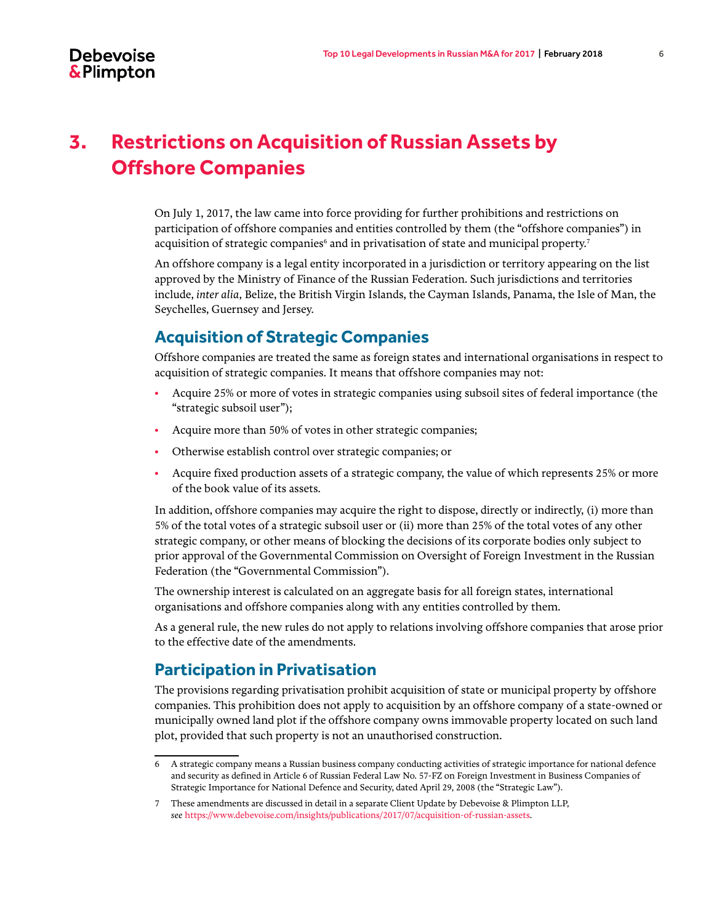## **3. Restrictions on Acquisition of Russian Assets by Offshore Companies**

On July 1, 2017, the law came into force providing for further prohibitions and restrictions on participation of offshore companies and entities controlled by them (the "offshore companies") in acquisition of strategic companies<sup>6</sup> and in privatisation of state and municipal property.<sup>7</sup>

An offshore company is a legal entity incorporated in a jurisdiction or territory appearing on the list approved by the Ministry of Finance of the Russian Federation. Such jurisdictions and territories include, *inter alia*, Belize, the British Virgin Islands, the Cayman Islands, Panama, the Isle of Man, the Seychelles, Guernsey and Jersey.

#### <span id="page-5-0"></span>**Acquisition of Strategic Companies**

Offshore companies are treated the same as foreign states and international organisations in respect to acquisition of strategic companies. It means that offshore companies may not:

- Acquire 25% or more of votes in strategic companies using subsoil sites of federal importance (the "strategic subsoil user");
- Acquire more than 50% of votes in other strategic companies;
- Otherwise establish control over strategic companies; or
- Acquire fixed production assets of a strategic company, the value of which represents 25% or more of the book value of its assets.

In addition, offshore companies may acquire the right to dispose, directly or indirectly, (i) more than 5% of the total votes of a strategic subsoil user or (ii) more than 25% of the total votes of any other strategic company, or other means of blocking the decisions of its corporate bodies only subject to prior approval of the Governmental Commission on Oversight of Foreign Investment in the Russian Federation (the "Governmental Commission").

The ownership interest is calculated on an aggregate basis for all foreign states, international organisations and offshore companies along with any entities controlled by them.

As a general rule, the new rules do not apply to relations involving offshore companies that arose prior to the effective date of the amendments.

#### <span id="page-5-1"></span>**Participation in Privatisation**

The provisions regarding privatisation prohibit acquisition of state or municipal property by offshore companies. This prohibition does not apply to acquisition by an offshore company of a state-owned or municipally owned land plot if the offshore company owns immovable property located on such land plot, provided that such property is not an unauthorised construction.

<sup>6</sup> A strategic company means a Russian business company conducting activities of strategic importance for national defence and security as defined in Article 6 of Russian Federal Law No. 57-FZ on Foreign Investment in Business Companies of Strategic Importance for National Defence and Security, dated April 29, 2008 (the "Strategic Law").

<sup>7</sup> These amendments are discussed in detail in a separate Client Update by Debevoise & Plimpton LLP, *see* [https://www.debevoise.com/insights/publications/2017/07/acquisition-of-russian-assets.](https://www.debevoise.com/insights/publications/2017/07/acquisition-of-russian-assets)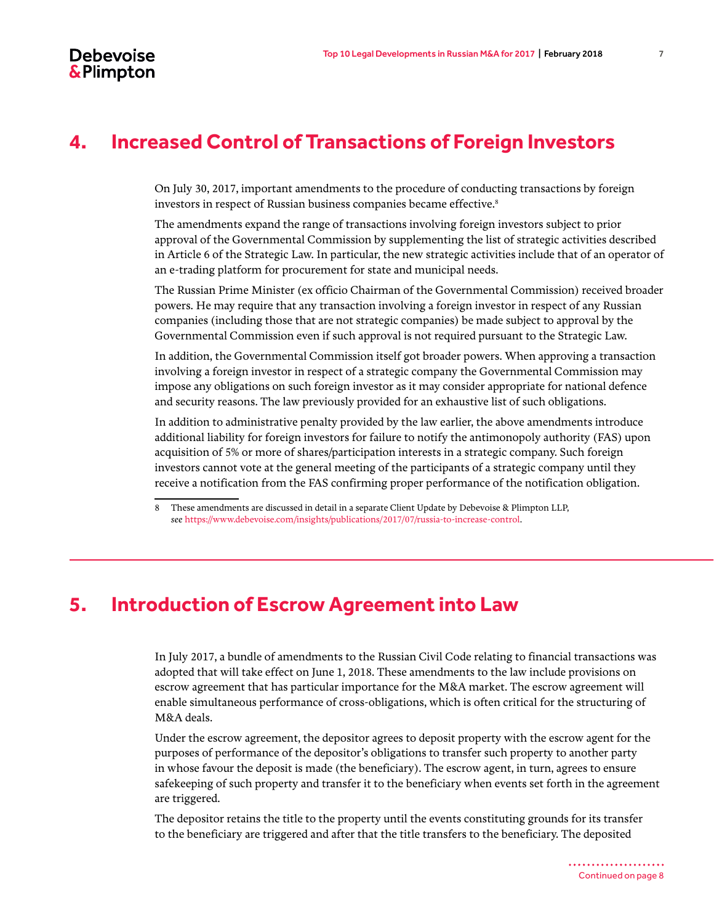### <span id="page-6-0"></span>**4. Increased Control of Transactions of Foreign Investors**

On July 30, 2017, important amendments to the procedure of conducting transactions by foreign investors in respect of Russian business companies became effective.<sup>8</sup>

The amendments expand the range of transactions involving foreign investors subject to prior approval of the Governmental Commission by supplementing the list of strategic activities described in Article 6 of the Strategic Law. In particular, the new strategic activities include that of an operator of an e-trading platform for procurement for state and municipal needs.

The Russian Prime Minister (ex officio Chairman of the Governmental Commission) received broader powers. He may require that any transaction involving a foreign investor in respect of any Russian companies (including those that are not strategic companies) be made subject to approval by the Governmental Commission even if such approval is not required pursuant to the Strategic Law.

In addition, the Governmental Commission itself got broader powers. When approving a transaction involving a foreign investor in respect of a strategic company the Governmental Commission may impose any obligations on such foreign investor as it may consider appropriate for national defence and security reasons. The law previously provided for an exhaustive list of such obligations.

In addition to administrative penalty provided by the law earlier, the above amendments introduce additional liability for foreign investors for failure to notify the antimonopoly authority (FAS) upon acquisition of 5% or more of shares/participation interests in a strategic company. Such foreign investors cannot vote at the general meeting of the participants of a strategic company until they receive a notification from the FAS confirming proper performance of the notification obligation.

#### <span id="page-6-1"></span>**5. Introduction of Escrow Agreement into Law**

In July 2017, a bundle of amendments to the Russian Civil Code relating to financial transactions was adopted that will take effect on June 1, 2018. These amendments to the law include provisions on escrow agreement that has particular importance for the M&A market. The escrow agreement will enable simultaneous performance of cross-obligations, which is often critical for the structuring of M&A deals.

Under the escrow agreement, the depositor agrees to deposit property with the escrow agent for the purposes of performance of the depositor's obligations to transfer such property to another party in whose favour the deposit is made (the beneficiary). The escrow agent, in turn, agrees to ensure safekeeping of such property and transfer it to the beneficiary when events set forth in the agreement are triggered.

The depositor retains the title to the property until the events constituting grounds for its transfer to the beneficiary are triggered and after that the title transfers to the beneficiary. The deposited

<sup>8</sup> These amendments are discussed in detail in a separate Client Update by Debevoise & Plimpton LLP, *see* <https://www.debevoise.com/insights/publications/2017/07/russia-to-increase-control>.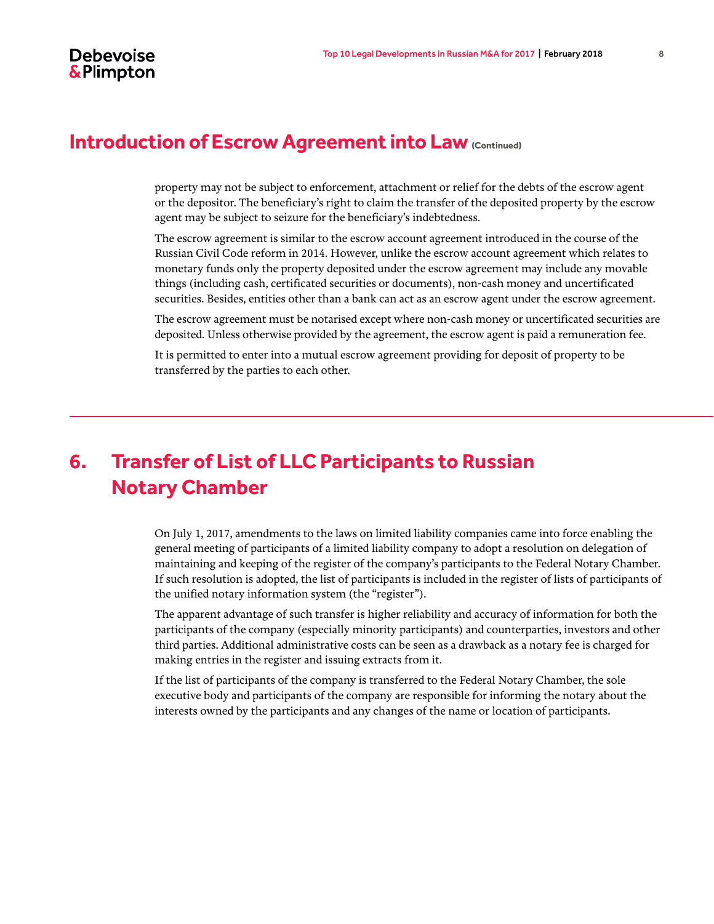#### **Introduction of Escrow Agreement into Law (Continued)**

property may not be subject to enforcement, attachment or relief for the debts of the escrow agent or the depositor. The beneficiary's right to claim the transfer of the deposited property by the escrow agent may be subject to seizure for the beneficiary's indebtedness.

The escrow agreement is similar to the escrow account agreement introduced in the course of the Russian Civil Code reform in 2014. However, unlike the escrow account agreement which relates to monetary funds only the property deposited under the escrow agreement may include any movable things (including cash, certificated securities or documents), non-cash money and uncertificated securities. Besides, entities other than a bank can act as an escrow agent under the escrow agreement.

The escrow agreement must be notarised except where non-cash money or uncertificated securities are deposited. Unless otherwise provided by the agreement, the escrow agent is paid a remuneration fee.

It is permitted to enter into a mutual escrow agreement providing for deposit of property to be transferred by the parties to each other.

## **6. Transfer of List of LLC Participants to Russian Notary Chamber**

On July 1, 2017, amendments to the laws on limited liability companies came into force enabling the general meeting of participants of a limited liability company to adopt a resolution on delegation of maintaining and keeping of the register of the company's participants to the Federal Notary Chamber. If such resolution is adopted, the list of participants is included in the register of lists of participants of the unified notary information system (the "register").

The apparent advantage of such transfer is higher reliability and accuracy of information for both the participants of the company (especially minority participants) and counterparties, investors and other third parties. Additional administrative costs can be seen as a drawback as a notary fee is charged for making entries in the register and issuing extracts from it.

If the list of participants of the company is transferred to the Federal Notary Chamber, the sole executive body and participants of the company are responsible for informing the notary about the interests owned by the participants and any changes of the name or location of participants.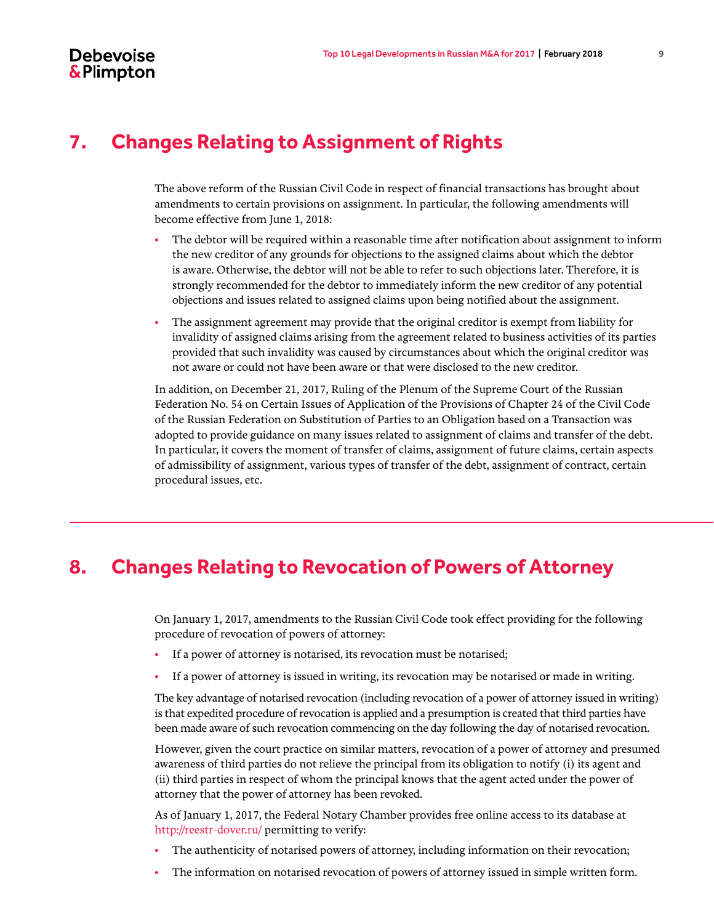### <span id="page-8-0"></span>**7. Changes Relating to Assignment of Rights**

The above reform of the Russian Civil Code in respect of financial transactions has brought about amendments to certain provisions on assignment. In particular, the following amendments will become effective from June 1, 2018:

- The debtor will be required within a reasonable time after notification about assignment to inform the new creditor of any grounds for objections to the assigned claims about which the debtor is aware. Otherwise, the debtor will not be able to refer to such objections later. Therefore, it is strongly recommended for the debtor to immediately inform the new creditor of any potential objections and issues related to assigned claims upon being notified about the assignment.
- The assignment agreement may provide that the original creditor is exempt from liability for invalidity of assigned claims arising from the agreement related to business activities of its parties provided that such invalidity was caused by circumstances about which the original creditor was not aware or could not have been aware or that were disclosed to the new creditor.

In addition, on December 21, 2017, Ruling of the Plenum of the Supreme Court of the Russian Federation No. 54 on Certain Issues of Application of the Provisions of Chapter 24 of the Civil Code of the Russian Federation on Substitution of Parties to an Obligation based on a Transaction was adopted to provide guidance on many issues related to assignment of claims and transfer of the debt. In particular, it covers the moment of transfer of claims, assignment of future claims, certain aspects of admissibility of assignment, various types of transfer of the debt, assignment of contract, certain procedural issues, etc.

#### <span id="page-8-1"></span>**8. Changes Relating to Revocation of Powers of Attorney**

On January 1, 2017, amendments to the Russian Civil Code took effect providing for the following procedure of revocation of powers of attorney:

- If a power of attorney is notarised, its revocation must be notarised;
- If a power of attorney is issued in writing, its revocation may be notarised or made in writing.

The key advantage of notarised revocation (including revocation of a power of attorney issued in writing) is that expedited procedure of revocation is applied and a presumption is created that third parties have been made aware of such revocation commencing on the day following the day of notarised revocation.

However, given the court practice on similar matters, revocation of a power of attorney and presumed awareness of third parties do not relieve the principal from its obligation to notify (i) its agent and (ii) third parties in respect of whom the principal knows that the agent acted under the power of attorney that the power of attorney has been revoked.

As of January 1, 2017, the Federal Notary Chamber provides free online access to its database at http://reestr-dover.ru/ permitting to verify:

- The authenticity of notarised powers of attorney, including information on their revocation;
- The information on notarised revocation of powers of attorney issued in simple written form.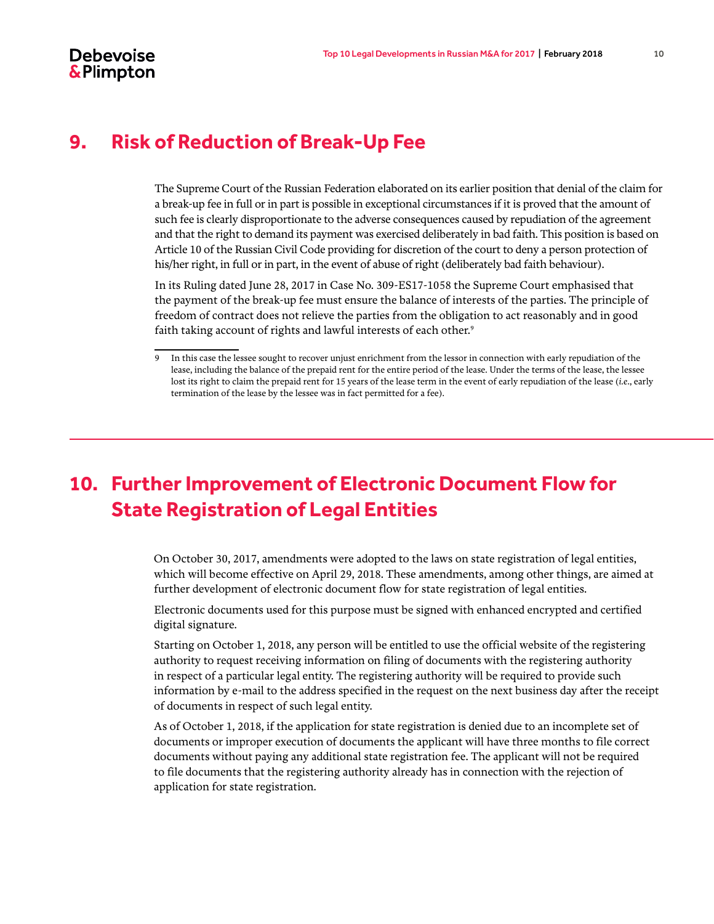#### **Debevoise** & Plimpton

#### <span id="page-9-0"></span>**9. Risk of Reduction of Break-Up Fee**

The Supreme Court of the Russian Federation elaborated on its earlier position that denial of the claim for a break-up fee in full or in part is possible in exceptional circumstances if it is proved that the amount of such fee is clearly disproportionate to the adverse consequences caused by repudiation of the agreement and that the right to demand its payment was exercised deliberately in bad faith. This position is based on Article 10 of the Russian Civil Code providing for discretion of the court to deny a person protection of his/her right, in full or in part, in the event of abuse of right (deliberately bad faith behaviour).

In its Ruling dated June 28, 2017 in Case No. 309-ES17-1058 the Supreme Court emphasised that the payment of the break-up fee must ensure the balance of interests of the parties. The principle of freedom of contract does not relieve the parties from the obligation to act reasonably and in good faith taking account of rights and lawful interests of each other.<sup>9</sup>

## <span id="page-9-1"></span>**10. Further Improvement of Electronic Document Flow for State Registration of Legal Entities**

On October 30, 2017, amendments were adopted to the laws on state registration of legal entities, which will become effective on April 29, 2018. These amendments, among other things, are aimed at further development of electronic document flow for state registration of legal entities.

Electronic documents used for this purpose must be signed with enhanced encrypted and certified digital signature.

Starting on October 1, 2018, any person will be entitled to use the official website of the registering authority to request receiving information on filing of documents with the registering authority in respect of a particular legal entity. The registering authority will be required to provide such information by e-mail to the address specified in the request on the next business day after the receipt of documents in respect of such legal entity.

As of October 1, 2018, if the application for state registration is denied due to an incomplete set of documents or improper execution of documents the applicant will have three months to file correct documents without paying any additional state registration fee. The applicant will not be required to file documents that the registering authority already has in connection with the rejection of application for state registration.

<sup>9</sup> In this case the lessee sought to recover unjust enrichment from the lessor in connection with early repudiation of the lease, including the balance of the prepaid rent for the entire period of the lease. Under the terms of the lease, the lessee lost its right to claim the prepaid rent for 15 years of the lease term in the event of early repudiation of the lease (*i.e*., early termination of the lease by the lessee was in fact permitted for a fee).